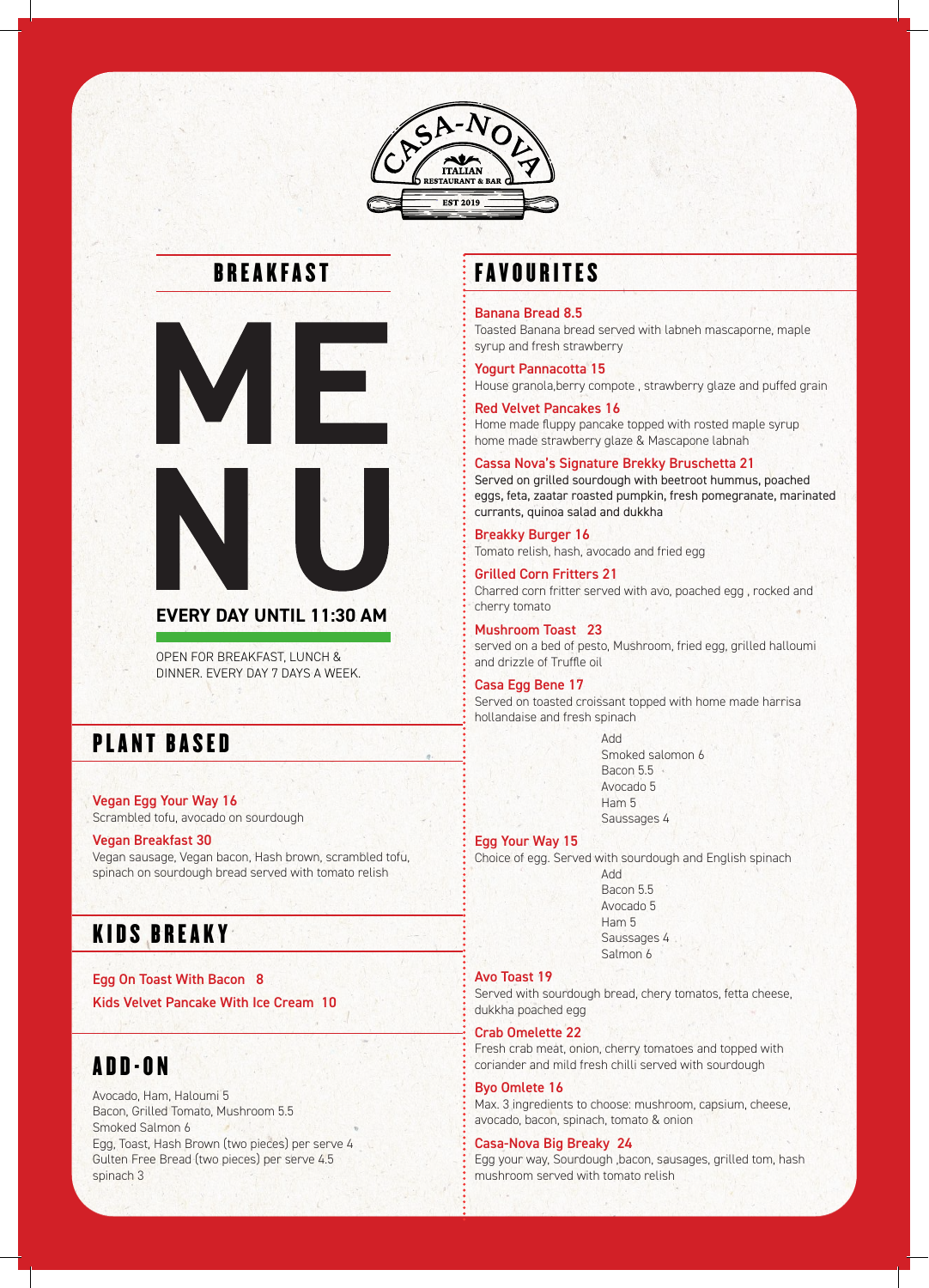



### **EVERY DAY UNTIL 11:30 AM**

OPEN FOR BREAKFAST, LUNCH & DINNER. EVERY DAY 7 DAYS A WEEK.

### PLANT BASED

Vegan Egg Your Way 16 Scrambled tofu, avocado on sourdough

#### Vegan Breakfast 30

Vegan sausage, Vegan bacon, Hash brown, scrambled tofu, spinach on sourdough bread served with tomato relish

# KIDS BREAKY

Egg On Toast With Bacon 8 Kids Velvet Pancake With Ice Cream 10

### ADD-ON

Avocado, Ham, Haloumi 5 Bacon, Grilled Tomato, Mushroom 5.5 Smoked Salmon 6 Egg, Toast, Hash Brown (two pieces) per serve 4 Gulten Free Bread (two pieces) per serve 4.5 spinach 3

### BREAKFAST : FAVOURITES

#### Banana Bread 8.5

Toasted Banana bread served with labneh mascaporne, maple syrup and fresh strawberry

Yogurt Pannacotta 15 House granola,berry compote , strawberry glaze and puffed grain

Red Velvet Pancakes 16 Home made fluppy pancake topped with rosted maple syrup home made strawberry glaze & Mascapone labnah

#### Cassa Nova's Signature Brekky Bruschetta 21

Served on grilled sourdough with beetroot hummus, poached eggs, feta, zaatar roasted pumpkin, fresh pomegranate, marinated currants, quinoa salad and dukkha

Breakky Burger 16 Tomato relish, hash, avocado and fried egg

Grilled Corn Fritters 21 Charred corn fritter served with avo, poached egg , rocked and cherry tomato

Mushroom Toast 23 served on a bed of pesto, Mushroom, fried egg, grilled halloumi and drizzle of Truffle oil

#### Casa Egg Bene 17

Served on toasted croissant topped with home made harrisa hollandaise and fresh spinach

> Add Smoked salomon 6 Bacon 5.5 Avocado 5 Ham 5 Saussages 4

#### Egg Your Way 15

Choice of egg. Served with sourdough and English spinach

Add Bacon 5.5 Avocado 5 Ham 5 Saussages 4 Salmon 6

#### Avo Toast 19

Served with sourdough bread, chery tomatos, fetta cheese, dukkha poached egg

Crab Omelette 22

Fresh crab meat, onion, cherry tomatoes and topped with coriander and mild fresh chilli served with sourdough

#### Byo Omlete 16

Max. 3 ingredients to choose: mushroom, capsium, cheese, avocado, bacon, spinach, tomato & onion

#### Casa-Nova Big Breaky 24

Egg your way, Sourdough ,bacon, sausages, grilled tom, hash mushroom served with tomato relish